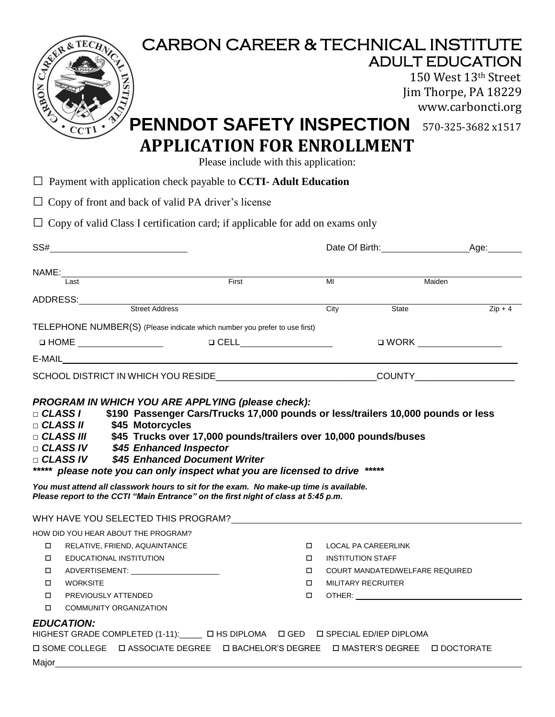| REAL PROPERTY OF<br>Ō.<br>NOad<br>CCT1<br>$\Box$ Payment with application check payable to <b>CCTI</b> - Adult Education<br>$\Box$ Copy of front and back of valid PA driver's license<br>$\Box$ Copy of valid Class I certification card; if applicable for add on exams only                                                                                                                                                                                    | <b>CARBON CAREER &amp; TECHNICAL INSTITUTE</b><br><b>PENNDOT SAFETY INSPECTION</b><br><b>APPLICATION FOR ENROLLMENT</b><br>Please include with this application: |                                 | <b>ADULT EDUCATION</b><br>150 West 13th Street<br>Jim Thorpe, PA 18229<br>www.carboncti.org<br>570-325-3682x1517 |
|-------------------------------------------------------------------------------------------------------------------------------------------------------------------------------------------------------------------------------------------------------------------------------------------------------------------------------------------------------------------------------------------------------------------------------------------------------------------|------------------------------------------------------------------------------------------------------------------------------------------------------------------|---------------------------------|------------------------------------------------------------------------------------------------------------------|
|                                                                                                                                                                                                                                                                                                                                                                                                                                                                   |                                                                                                                                                                  |                                 | Date Of Birth: Age:                                                                                              |
|                                                                                                                                                                                                                                                                                                                                                                                                                                                                   |                                                                                                                                                                  |                                 |                                                                                                                  |
| NAME:<br>Last First First                                                                                                                                                                                                                                                                                                                                                                                                                                         |                                                                                                                                                                  | M                               | Maiden                                                                                                           |
|                                                                                                                                                                                                                                                                                                                                                                                                                                                                   |                                                                                                                                                                  |                                 |                                                                                                                  |
|                                                                                                                                                                                                                                                                                                                                                                                                                                                                   |                                                                                                                                                                  | State<br>City                   | $Zip + 4$                                                                                                        |
| TELEPHONE NUMBER(S) (Please indicate which number you prefer to use first)                                                                                                                                                                                                                                                                                                                                                                                        |                                                                                                                                                                  |                                 |                                                                                                                  |
|                                                                                                                                                                                                                                                                                                                                                                                                                                                                   |                                                                                                                                                                  |                                 | □ WORK <u>__________________</u>                                                                                 |
|                                                                                                                                                                                                                                                                                                                                                                                                                                                                   |                                                                                                                                                                  |                                 |                                                                                                                  |
|                                                                                                                                                                                                                                                                                                                                                                                                                                                                   |                                                                                                                                                                  |                                 |                                                                                                                  |
| PROGRAM IN WHICH YOU ARE APPLYING (please check):<br>$\Box$ CLASS I<br>□ CLASS II \$45 Motorcycles<br>$\Box$ CLASS III<br>□ CLASS IV \$45 Enhanced Inspector<br>□ CLASS IV \$45 Enhanced Document Writer<br>***** please note you can only inspect what you are licensed to drive<br>You must attend all classwork hours to sit for the exam. No make-up time is available.<br>Please report to the CCTI "Main Entrance" on the first night of class at 5:45 p.m. | \$190 Passenger Cars/Trucks 17,000 pounds or less/trailers 10,000 pounds or less<br>\$45 Trucks over 17,000 pounds/trailers over 10,000 pounds/buses             | *****                           |                                                                                                                  |
|                                                                                                                                                                                                                                                                                                                                                                                                                                                                   |                                                                                                                                                                  |                                 |                                                                                                                  |
| HOW DID YOU HEAR ABOUT THE PROGRAM?<br>RELATIVE, FRIEND, AQUAINTANCE<br>□                                                                                                                                                                                                                                                                                                                                                                                         | $\Box$                                                                                                                                                           | LOCAL PA CAREERLINK             |                                                                                                                  |
| EDUCATIONAL INSTITUTION<br>□                                                                                                                                                                                                                                                                                                                                                                                                                                      | $\Box$                                                                                                                                                           | <b>INSTITUTION STAFF</b>        |                                                                                                                  |
| □<br>ADVERTISEMENT: __________________________                                                                                                                                                                                                                                                                                                                                                                                                                    | □                                                                                                                                                                | COURT MANDATED/WELFARE REQUIRED |                                                                                                                  |
| <b>WORKSITE</b><br>□                                                                                                                                                                                                                                                                                                                                                                                                                                              | $\Box$                                                                                                                                                           | <b>MILITARY RECRUITER</b>       |                                                                                                                  |
| □<br>PREVIOUSLY ATTENDED                                                                                                                                                                                                                                                                                                                                                                                                                                          | $\Box$                                                                                                                                                           |                                 |                                                                                                                  |
| □<br><b>COMMUNITY ORGANIZATION</b>                                                                                                                                                                                                                                                                                                                                                                                                                                |                                                                                                                                                                  |                                 |                                                                                                                  |
| <b>EDUCATION:</b><br>HIGHEST GRADE COMPLETED (1-11): U HS DIPLOMA U GED U SPECIAL ED/IEP DIPLOMA<br><b>□ SOME COLLEGE  □ ASSOCIATE DEGREE  □ BACHELOR'S DEGREE  □ MASTER'S DEGREE  □ DOCTORATE</b>                                                                                                                                                                                                                                                                |                                                                                                                                                                  |                                 |                                                                                                                  |
|                                                                                                                                                                                                                                                                                                                                                                                                                                                                   |                                                                                                                                                                  |                                 |                                                                                                                  |